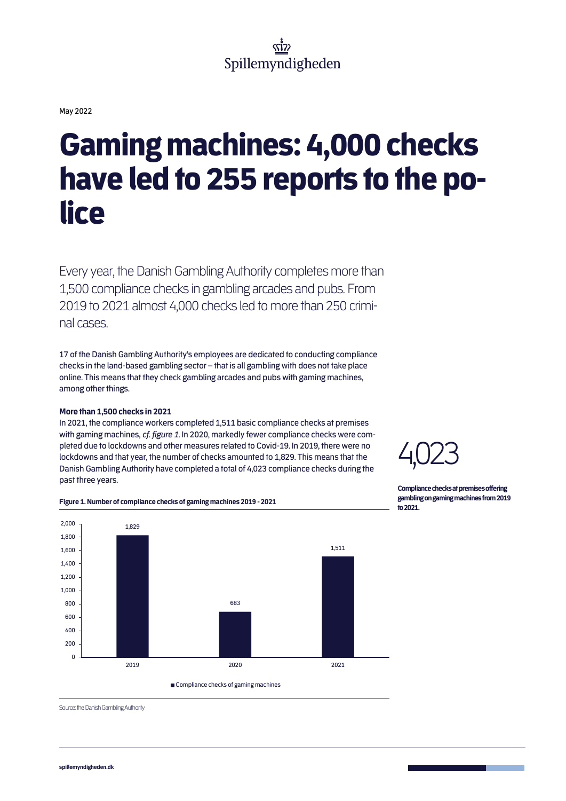May 2022

# Gaming machines: 4,000 checks have led to 255 reports to the police

Every year, the Danish Gambling Authority completes more than 1,500 compliance checks in gambling arcades and pubs. From 2019 to 2021 almost 4,000 checksled to more than 250 criminal cases.

17 of the Danish Gambling Authority's employees are dedicated to conducting compliance checks in the land-based gambling sector – that is all gambling with does not take place online. This means that they check gambling arcades and pubs with gaming machines, among other things.

# **More than 1,500 checks in 2021**

In 2021, the compliance workers completed 1,511 basic compliance checks at premises with gaming machines, *cf. figure 1*. In 2020, markedly fewer compliance checks were completed due to lockdowns and other measures related to Covid-19. In 2019, there were no lockdowns and that year, the number of checks amounted to 1,829. This means that the Danish Gambling Authority have completed a total of 4,023 compliance checks during the past three years.



**Compliance checks at premises offering gambling on gaming machines from 2019 to 2021.** 



**Figure 1. Number of compliance checks of gaming machines 2019 - 2021**

Source: the Danish Gambling Authority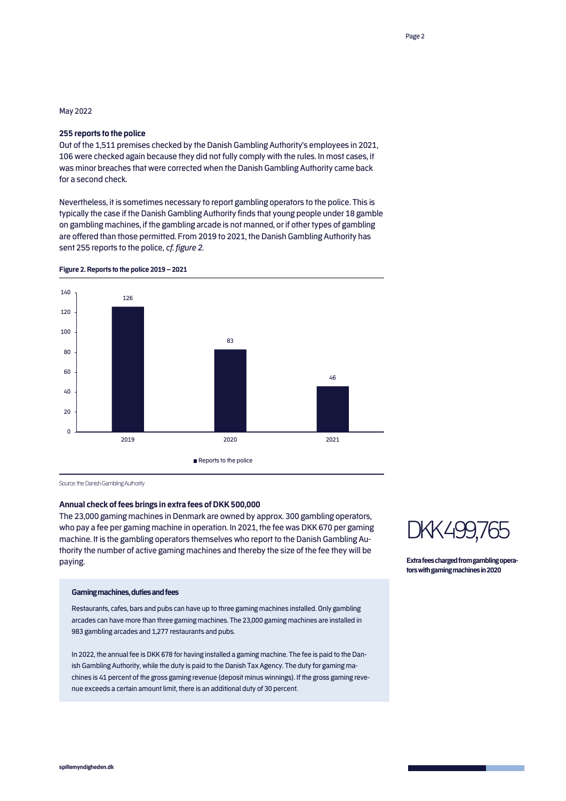# May 2022

### **255 reports to the police**

Out of the 1,511 premises checked by the Danish Gambling Authority's employees in 2021, 106 were checked again because they did not fully comply with the rules. In most cases, it was minor breaches that were corrected when the Danish Gambling Authority came back for a second check.

Nevertheless, it is sometimes necessary to report gambling operators to the police. This is typically the case if the Danish Gambling Authority finds that young people under 18 gamble on gambling machines, if the gambling arcade is not manned, or if other types of gambling are offered than those permitted. From 2019 to 2021, the Danish Gambling Authority has sent 255 reports to the police, *cf. figure 2*.



**Figure 2. Reports to the police 2019 – 2021** 

Source: the Danish Gambling Authority

# **Annual check of fees brings in extra fees of DKK 500,000**

The 23,000 gaming machines in Denmark are owned by approx. 300 gambling operators, who pay a fee per gaming machine in operation. In 2021, the fee was DKK 670 per gaming machine. It is the gambling operators themselves who report to the Danish Gambling Authority the number of active gaming machines and thereby the size of the fee they will be paying.

#### **Gaming machines, dutiesand fees**

Restaurants, cafes, bars and pubs can have up to three gaming machines installed. Only gambling arcades can have more than three gaming machines. The 23,000 gaming machines are installed in 983 gambling arcades and 1,277 restaurants and pubs.

In 2022, the annual fee is DKK 678 for having installed a gaming machine. The fee is paid to the Danish Gambling Authority, while the duty is paid to the Danish Tax Agency. The duty for gaming machines is 41 percent of the gross gaming revenue (deposit minus winnings). If the gross gaming revenue exceeds a certain amount limit, there is an additional duty of 30 percent.



**Extra fees charged from gambling operators with gaming machines in2020**